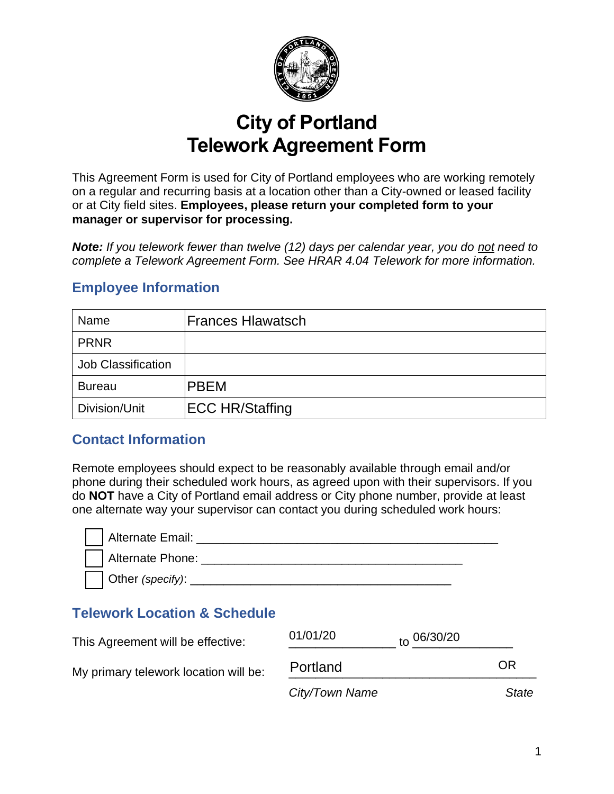

# **City of Portland Telework Agreement Form**

This Agreement Form is used for City of Portland employees who are working remotely on a regular and recurring basis at a location other than a City-owned or leased facility or at City field sites. **Employees, please return your completed form to your manager or supervisor for processing.**

*Note: If you telework fewer than twelve (12) days per calendar year, you do not need to complete a Telework Agreement Form. See HRAR 4.04 Telework for more information.* 

#### Name PRNR Job Classification Bureau Division/Unit Frances Hlawatsch PBEM

# **Employee Information**

## **Contact Information**

Remote employees should expect to be reasonably available through email and/or phone during their scheduled work hours, as agreed upon with their supervisors. If you do **NOT** have a City of Portland email address or City phone number, provide at least one alternate way your supervisor can contact you during scheduled work hours:

| )ivision/Unit                          | <b>ECC HR/Staffing</b> |          |                                                                                                                                                                                                                                                                                                                                              |    |
|----------------------------------------|------------------------|----------|----------------------------------------------------------------------------------------------------------------------------------------------------------------------------------------------------------------------------------------------------------------------------------------------------------------------------------------------|----|
| ontact Information                     |                        |          |                                                                                                                                                                                                                                                                                                                                              |    |
|                                        |                        |          | emote employees should expect to be reasonably available through email and/or<br>one during their scheduled work hours, as agreed upon with their supervisors. If y<br><b>NOT</b> have a City of Portland email address or City phone number, provide at lea<br>e alternate way your supervisor can contact you during scheduled work hours: |    |
|                                        |                        |          |                                                                                                                                                                                                                                                                                                                                              |    |
| <b>elework Location &amp; Schedule</b> |                        |          |                                                                                                                                                                                                                                                                                                                                              |    |
| nis Agreement will be effective:       |                        | 01/01/20 | to 06/30/20                                                                                                                                                                                                                                                                                                                                  |    |
| v primary telework location will be:   |                        | Portland |                                                                                                                                                                                                                                                                                                                                              | ΟR |

# **Telework Location & Schedule**

| This Agreement will be effective:     | 01/01/20       | $_{\text{to}}$ 06/30/20 |       |
|---------------------------------------|----------------|-------------------------|-------|
| My primary telework location will be: | Portland       |                         | OR    |
|                                       | City/Town Name |                         | State |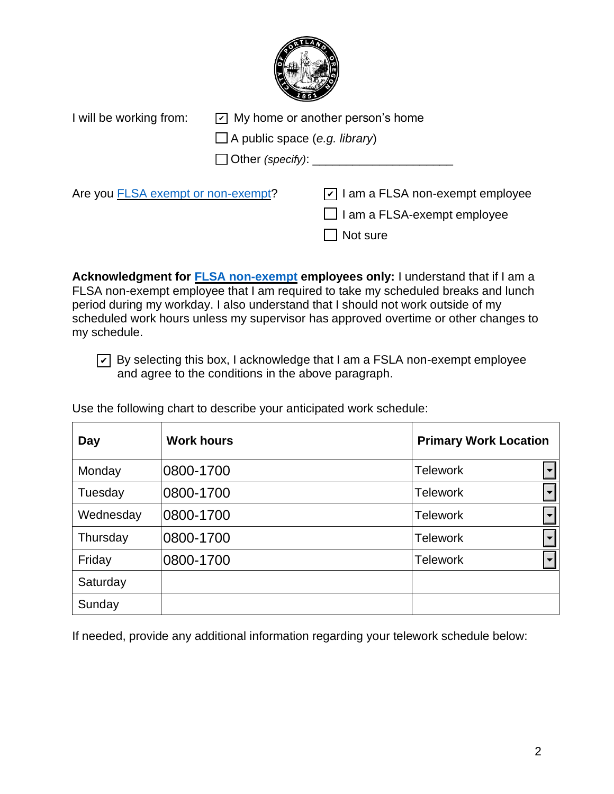

| I will be working from:                   | $\boxed{\triangleright}$ My home or another person's home<br>$\Box$ A public space (e.g. library) |                                                 |
|-------------------------------------------|---------------------------------------------------------------------------------------------------|-------------------------------------------------|
|                                           |                                                                                                   |                                                 |
|                                           |                                                                                                   | $\Box$ Other (specify): $\Box$                  |
| Are you <b>FLSA</b> exempt or non-exempt? |                                                                                                   | $\triangledown$ I am a FLSA non-exempt employee |
|                                           |                                                                                                   | $\Box$ I am a FLSA-exempt employee              |
|                                           |                                                                                                   | Not sure                                        |

| I will be working from:                   | $ v $ My home or another person's home                                                                                     |                                                                                                                                                                                                                                                                                                                                                                                                                                                    |  |  |  |
|-------------------------------------------|----------------------------------------------------------------------------------------------------------------------------|----------------------------------------------------------------------------------------------------------------------------------------------------------------------------------------------------------------------------------------------------------------------------------------------------------------------------------------------------------------------------------------------------------------------------------------------------|--|--|--|
|                                           |                                                                                                                            | $\Box$ A public space (e.g. library)                                                                                                                                                                                                                                                                                                                                                                                                               |  |  |  |
|                                           |                                                                                                                            | Other (specify): ____________                                                                                                                                                                                                                                                                                                                                                                                                                      |  |  |  |
| Are you <b>FLSA</b> exempt or non-exempt? |                                                                                                                            | $\vert \overline{v} \vert$ I am a FLSA non-exempt employee<br>I am a FLSA-exempt employee<br>Not sure                                                                                                                                                                                                                                                                                                                                              |  |  |  |
| my schedule.                              | and agree to the conditions in the above paragraph.<br>Use the following chart to describe your anticipated work schedule: | Acknowledgment for <b>FLSA non-exempt</b> employees only: I understand that if I am a<br>FLSA non-exempt employee that I am required to take my scheduled breaks and lunch<br>period during my workday. I also understand that I should not work outside of my<br>scheduled work hours unless my supervisor has approved overtime or other changes to<br>$\triangledown$ By selecting this box, I acknowledge that I am a FSLA non-exempt employee |  |  |  |
| <b>Day</b>                                | <b>Work hours</b>                                                                                                          | <b>Primary Work Location</b>                                                                                                                                                                                                                                                                                                                                                                                                                       |  |  |  |
| Monday                                    | 0800-1700                                                                                                                  | <b>Telework</b>                                                                                                                                                                                                                                                                                                                                                                                                                                    |  |  |  |
| Tuesday                                   | 0800-1700                                                                                                                  | <b>Telework</b>                                                                                                                                                                                                                                                                                                                                                                                                                                    |  |  |  |
| Wednesday                                 | 0800-1700                                                                                                                  | <b>Telework</b>                                                                                                                                                                                                                                                                                                                                                                                                                                    |  |  |  |
| Thursday                                  | 0800-1700                                                                                                                  | <b>Telework</b>                                                                                                                                                                                                                                                                                                                                                                                                                                    |  |  |  |
| Friday                                    |                                                                                                                            |                                                                                                                                                                                                                                                                                                                                                                                                                                                    |  |  |  |
|                                           | 0800-1700                                                                                                                  | <b>Telework</b>                                                                                                                                                                                                                                                                                                                                                                                                                                    |  |  |  |
| Saturday                                  |                                                                                                                            |                                                                                                                                                                                                                                                                                                                                                                                                                                                    |  |  |  |

If needed, provide any additional information regarding your telework schedule below: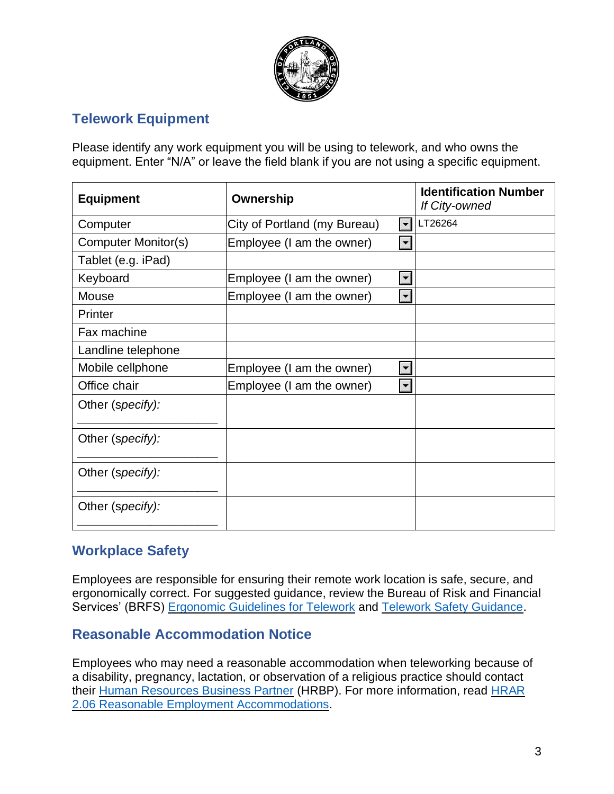

## **Telework Equipment**

Please identify any work equipment you will be using to telework, and who owns the equipment. Enter "N/A" or leave the field blank if you are not using a specific equipment.

| <b>Equipment</b>    | Ownership                                                | <b>Identification Number</b><br><b>If City-owned</b> |
|---------------------|----------------------------------------------------------|------------------------------------------------------|
| Computer            | City of Portland (my Bureau)<br>$\blacktriangledown$     | LT26264                                              |
| Computer Monitor(s) | Employee (I am the owner)<br>$\blacktriangledown$        |                                                      |
| Tablet (e.g. iPad)  |                                                          |                                                      |
| Keyboard            | $\left  \mathbf{v} \right $<br>Employee (I am the owner) |                                                      |
| Mouse               | Employee (I am the owner)<br>$\left  \cdot \right $      |                                                      |
| Printer             |                                                          |                                                      |
| Fax machine         |                                                          |                                                      |
| Landline telephone  |                                                          |                                                      |
| Mobile cellphone    | $\blacktriangledown$<br>Employee (I am the owner)        |                                                      |
| Office chair        | $\left  \bullet \right $<br>Employee (I am the owner)    |                                                      |
| Other (specify):    |                                                          |                                                      |
| Other (specify):    |                                                          |                                                      |
| Other (specify):    |                                                          |                                                      |
| Other (specify):    |                                                          |                                                      |

# **Workplace Safety**

Employees are responsible for ensuring their remote work location is safe, secure, and ergonomically correct. For suggested guidance, review the Bureau of Risk and Financial Services' (BRFS) [Ergonomic Guidelines for Telework](https://www.portlandoregon.gov/brfs/61958) and [Telework Safety Guidance.](https://www.portlandoregon.gov/brfs/index.cfm?&a=764882)

#### **Reasonable Accommodation Notice**

Employees who may need a reasonable accommodation when teleworking because of a disability, pregnancy, lactation, or observation of a religious practice should contact their [Human Resources Business Partner](https://www.portlandoregon.gov/bhr/article/430513) (HRBP). For more information, read [HRAR](https://www.portlandoregon.gov/citycode/article/714199)  [2.06 Reasonable Employment Accommodations.](https://www.portlandoregon.gov/citycode/article/714199)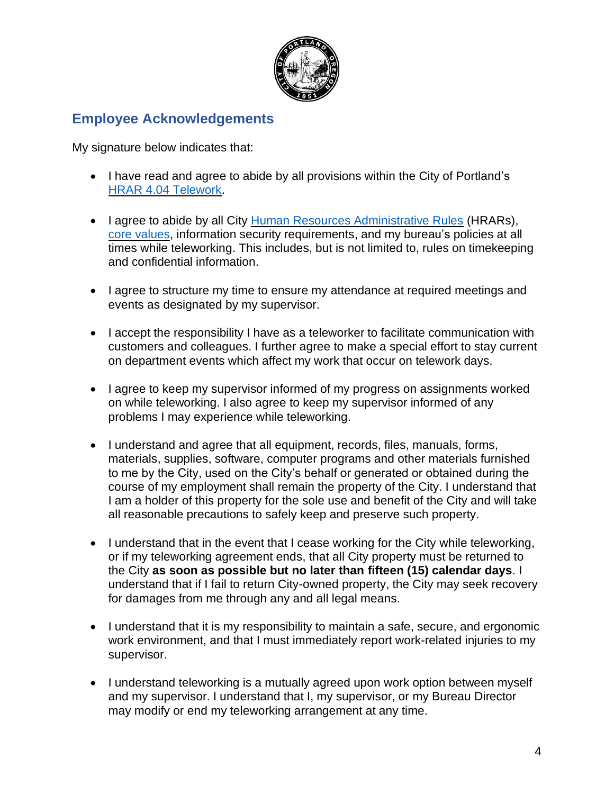

#### **Employee Acknowledgements**

My signature below indicates that:

- I have read and agree to abide by all provisions within the City of Portland's HRAR [4.04 Telework.](https://www.portlandoregon.gov/bhr/article/767388)
- I agree to abide by all City [Human Resources Administrative Rules](https://www.portlandoregon.gov/bhr/61163) (HRARs), [core values,](https://efiles.portlandoregon.gov/Record/13780725/) information security requirements, and my bureau's policies at all times while teleworking. This includes, but is not limited to, rules on timekeeping and confidential information.
- I agree to structure my time to ensure my attendance at required meetings and events as designated by my supervisor.
- I accept the responsibility I have as a teleworker to facilitate communication with customers and colleagues. I further agree to make a special effort to stay current on department events which affect my work that occur on telework days.
- I agree to keep my supervisor informed of my progress on assignments worked on while teleworking. I also agree to keep my supervisor informed of any problems I may experience while teleworking.
- I understand and agree that all equipment, records, files, manuals, forms, materials, supplies, software, computer programs and other materials furnished to me by the City, used on the City's behalf or generated or obtained during the course of my employment shall remain the property of the City. I understand that I am a holder of this property for the sole use and benefit of the City and will take all reasonable precautions to safely keep and preserve such property.
- I understand that in the event that I cease working for the City while teleworking, or if my teleworking agreement ends, that all City property must be returned to the City **as soon as possible but no later than fifteen (15) calendar days**. I understand that if I fail to return City-owned property, the City may seek recovery for damages from me through any and all legal means.
- I understand that it is my responsibility to maintain a safe, secure, and ergonomic work environment, and that I must immediately report work-related injuries to my supervisor.
- I understand teleworking is a mutually agreed upon work option between myself and my supervisor. I understand that I, my supervisor, or my Bureau Director may modify or end my teleworking arrangement at any time.